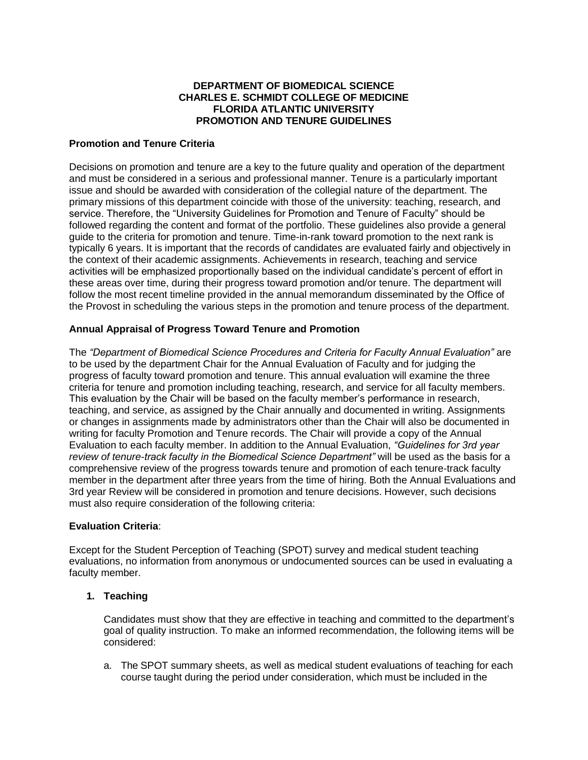## **DEPARTMENT OF BIOMEDICAL SCIENCE CHARLES E. SCHMIDT COLLEGE OF MEDICINE FLORIDA ATLANTIC UNIVERSITY PROMOTION AND TENURE GUIDELINES**

### **Promotion and Tenure Criteria**

Decisions on promotion and tenure are a key to the future quality and operation of the department and must be considered in a serious and professional manner. Tenure is a particularly important issue and should be awarded with consideration of the collegial nature of the department. The primary missions of this department coincide with those of the university: teaching, research, and service. Therefore, the "University Guidelines for Promotion and Tenure of Faculty" should be followed regarding the content and format of the portfolio. These guidelines also provide a general guide to the criteria for promotion and tenure. Time-in-rank toward promotion to the next rank is typically 6 years. It is important that the records of candidates are evaluated fairly and objectively in the context of their academic assignments. Achievements in research, teaching and service activities will be emphasized proportionally based on the individual candidate's percent of effort in these areas over time, during their progress toward promotion and/or tenure. The department will follow the most recent timeline provided in the annual memorandum disseminated by the Office of the Provost in scheduling the various steps in the promotion and tenure process of the department.

## **Annual Appraisal of Progress Toward Tenure and Promotion**

The *"Department of Biomedical Science Procedures and Criteria for Faculty Annual Evaluation"* are to be used by the department Chair for the Annual Evaluation of Faculty and for judging the progress of faculty toward promotion and tenure. This annual evaluation will examine the three criteria for tenure and promotion including teaching, research, and service for all faculty members. This evaluation by the Chair will be based on the faculty member's performance in research, teaching, and service, as assigned by the Chair annually and documented in writing. Assignments or changes in assignments made by administrators other than the Chair will also be documented in writing for faculty Promotion and Tenure records. The Chair will provide a copy of the Annual Evaluation to each faculty member. In addition to the Annual Evaluation, *"Guidelines for 3rd year review of tenure-track faculty in the Biomedical Science Department"* will be used as the basis for a comprehensive review of the progress towards tenure and promotion of each tenure‐track faculty member in the department after three years from the time of hiring. Both the Annual Evaluations and 3rd year Review will be considered in promotion and tenure decisions. However, such decisions must also require consideration of the following criteria:

### **Evaluation Criteria**:

Except for the Student Perception of Teaching (SPOT) survey and medical student teaching evaluations, no information from anonymous or undocumented sources can be used in evaluating a faculty member.

### **1. Teaching**

Candidates must show that they are effective in teaching and committed to the department's goal of quality instruction. To make an informed recommendation, the following items will be considered:

a. The SPOT summary sheets, as well as medical student evaluations of teaching for each course taught during the period under consideration, which must be included in the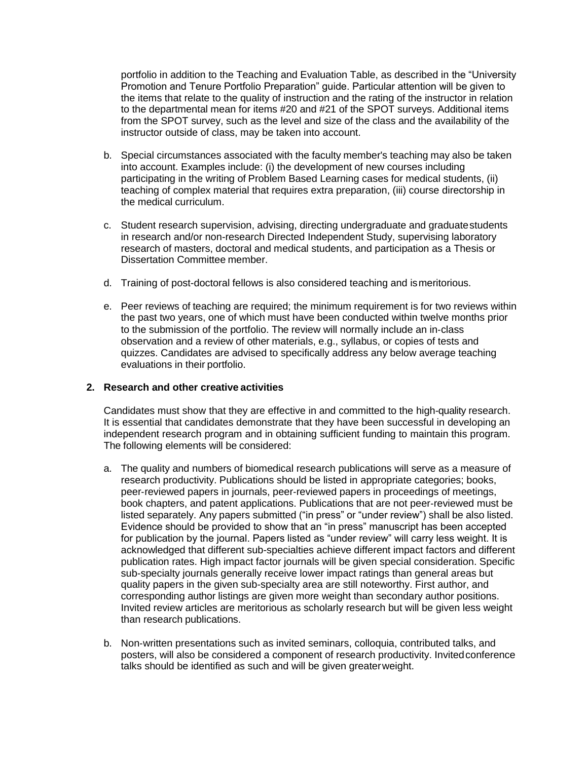portfolio in addition to the Teaching and Evaluation Table, as described in the "University Promotion and Tenure Portfolio Preparation" guide. Particular attention will be given to the items that relate to the quality of instruction and the rating of the instructor in relation to the departmental mean for items #20 and #21 of the SPOT surveys. Additional items from the SPOT survey, such as the level and size of the class and the availability of the instructor outside of class, may be taken into account.

- b. Special circumstances associated with the faculty member's teaching may also be taken into account. Examples include: (i) the development of new courses including participating in the writing of Problem Based Learning cases for medical students, (ii) teaching of complex material that requires extra preparation, (iii) course directorship in the medical curriculum.
- c. Student research supervision, advising, directing undergraduate and graduatestudents in research and/or non-research Directed Independent Study, supervising laboratory research of masters, doctoral and medical students, and participation as a Thesis or Dissertation Committee member.
- d. Training of post-doctoral fellows is also considered teaching and ismeritorious.
- e. Peer reviews of teaching are required; the minimum requirement is for two reviews within the past two years, one of which must have been conducted within twelve months prior to the submission of the portfolio. The review will normally include an in‐class observation and a review of other materials, e.g., syllabus, or copies of tests and quizzes. Candidates are advised to specifically address any below average teaching evaluations in their portfolio.

#### **2. Research and other creative activities**

Candidates must show that they are effective in and committed to the high-quality research. It is essential that candidates demonstrate that they have been successful in developing an independent research program and in obtaining sufficient funding to maintain this program. The following elements will be considered:

- a. The quality and numbers of biomedical research publications will serve as a measure of research productivity. Publications should be listed in appropriate categories; books, peer-reviewed papers in journals, peer-reviewed papers in proceedings of meetings, book chapters, and patent applications. Publications that are not peer‐reviewed must be listed separately. Any papers submitted ("in press" or "under review") shall be also listed. Evidence should be provided to show that an "in press" manuscript has been accepted for publication by the journal. Papers listed as "under review" will carry less weight. It is acknowledged that different sub-specialties achieve different impact factors and different publication rates. High impact factor journals will be given special consideration. Specific sub-specialty journals generally receive lower impact ratings than general areas but quality papers in the given sub-specialty area are still noteworthy. First author, and corresponding author listings are given more weight than secondary author positions. Invited review articles are meritorious as scholarly research but will be given less weight than research publications.
- b. Non‐written presentations such as invited seminars, colloquia, contributed talks, and posters, will also be considered a component of research productivity. Invitedconference talks should be identified as such and will be given greaterweight.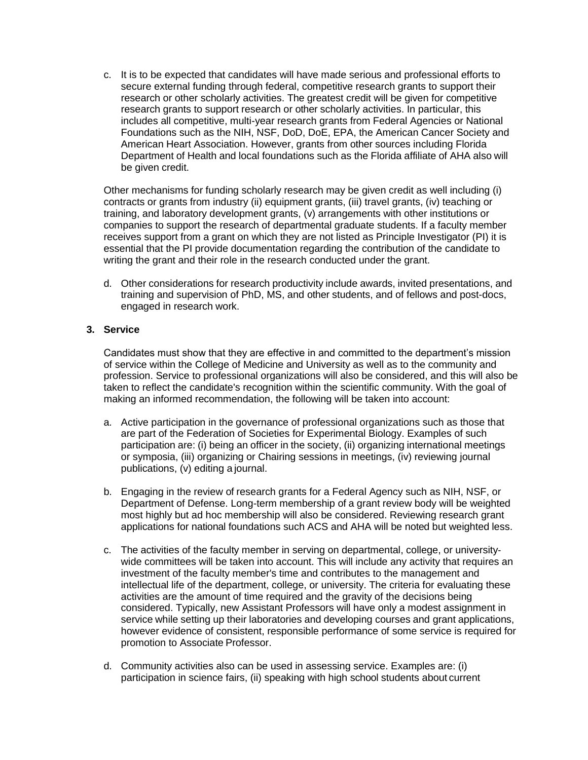c. It is to be expected that candidates will have made serious and professional efforts to secure external funding through federal, competitive research grants to support their research or other scholarly activities. The greatest credit will be given for competitive research grants to support research or other scholarly activities. In particular, this includes all competitive, multi-year research grants from Federal Agencies or National Foundations such as the NIH, NSF, DoD, DoE, EPA, the American Cancer Society and American Heart Association. However, grants from other sources including Florida Department of Health and local foundations such as the Florida affiliate of AHA also will be given credit.

Other mechanisms for funding scholarly research may be given credit as well including (i) contracts or grants from industry (ii) equipment grants, (iii) travel grants, (iv) teaching or training, and laboratory development grants, (v) arrangements with other institutions or companies to support the research of departmental graduate students. If a faculty member receives support from a grant on which they are not listed as Principle Investigator (PI) it is essential that the PI provide documentation regarding the contribution of the candidate to writing the grant and their role in the research conducted under the grant.

d. Other considerations for research productivity include awards, invited presentations, and training and supervision of PhD, MS, and other students, and of fellows and post-docs, engaged in research work.

## **3. Service**

Candidates must show that they are effective in and committed to the department's mission of service within the College of Medicine and University as well as to the community and profession. Service to professional organizations will also be considered, and this will also be taken to reflect the candidate's recognition within the scientific community. With the goal of making an informed recommendation, the following will be taken into account:

- a. Active participation in the governance of professional organizations such as those that are part of the Federation of Societies for Experimental Biology. Examples of such participation are: (i) being an officer in the society, (ii) organizing international meetings or symposia, (iii) organizing or Chairing sessions in meetings, (iv) reviewing journal publications, (v) editing a journal.
- b. Engaging in the review of research grants for a Federal Agency such as NIH, NSF, or Department of Defense. Long-term membership of a grant review body will be weighted most highly but ad hoc membership will also be considered. Reviewing research grant applications for national foundations such ACS and AHA will be noted but weighted less.
- c. The activities of the faculty member in serving on departmental, college, or university‐ wide committees will be taken into account. This will include any activity that requires an investment of the faculty member's time and contributes to the management and intellectual life of the department, college, or university. The criteria for evaluating these activities are the amount of time required and the gravity of the decisions being considered. Typically, new Assistant Professors will have only a modest assignment in service while setting up their laboratories and developing courses and grant applications, however evidence of consistent, responsible performance of some service is required for promotion to Associate Professor.
- d. Community activities also can be used in assessing service. Examples are: (i) participation in science fairs, (ii) speaking with high school students about current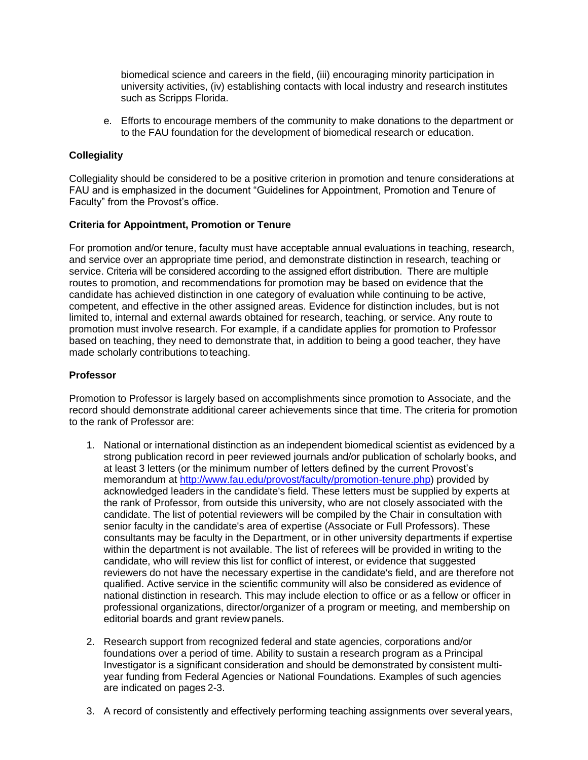biomedical science and careers in the field, (iii) encouraging minority participation in university activities, (iv) establishing contacts with local industry and research institutes such as Scripps Florida.

e. Efforts to encourage members of the community to make donations to the department or to the FAU foundation for the development of biomedical research or education.

# **Collegiality**

Collegiality should be considered to be a positive criterion in promotion and tenure considerations at FAU and is emphasized in the document "Guidelines for Appointment, Promotion and Tenure of Faculty" from the Provost's office.

### **Criteria for Appointment, Promotion or Tenure**

For promotion and/or tenure, faculty must have acceptable annual evaluations in teaching, research, and service over an appropriate time period, and demonstrate distinction in research, teaching or service. Criteria will be considered according to the assigned effort distribution. There are multiple routes to promotion, and recommendations for promotion may be based on evidence that the candidate has achieved distinction in one category of evaluation while continuing to be active, competent, and effective in the other assigned areas. Evidence for distinction includes, but is not limited to, internal and external awards obtained for research, teaching, or service. Any route to promotion must involve research. For example, if a candidate applies for promotion to Professor based on teaching, they need to demonstrate that, in addition to being a good teacher, they have made scholarly contributions to teaching.

## **Professor**

Promotion to Professor is largely based on accomplishments since promotion to Associate, and the record should demonstrate additional career achievements since that time. The criteria for promotion to the rank of Professor are:

- 1. National or international distinction as an independent biomedical scientist as evidenced by a strong publication record in peer reviewed journals and/or publication of scholarly books, and at least 3 letters (or the minimum number of letters defined by the current Provost's memorandum at [http://www.fau.edu/provost/faculty/promotion-tenure.php\)](http://www.fau.edu/provost/faculty/promotion-tenure.php) provided by acknowledged leaders in the candidate's field. These letters must be supplied by experts at the rank of Professor, from outside this university, who are not closely associated with the candidate. The list of potential reviewers will be compiled by the Chair in consultation with senior faculty in the candidate's area of expertise (Associate or Full Professors). These consultants may be faculty in the Department, or in other university departments if expertise within the department is not available. The list of referees will be provided in writing to the candidate, who will review this list for conflict of interest, or evidence that suggested reviewers do not have the necessary expertise in the candidate's field, and are therefore not qualified. Active service in the scientific community will also be considered as evidence of national distinction in research. This may include election to office or as a fellow or officer in professional organizations, director/organizer of a program or meeting, and membership on editorial boards and grant review panels.
- 2. Research support from recognized federal and state agencies, corporations and/or foundations over a period of time. Ability to sustain a research program as a Principal Investigator is a significant consideration and should be demonstrated by consistent multi‐ year funding from Federal Agencies or National Foundations. Examples of such agencies are indicated on pages 2-3.
- 3. A record of consistently and effectively performing teaching assignments over several years,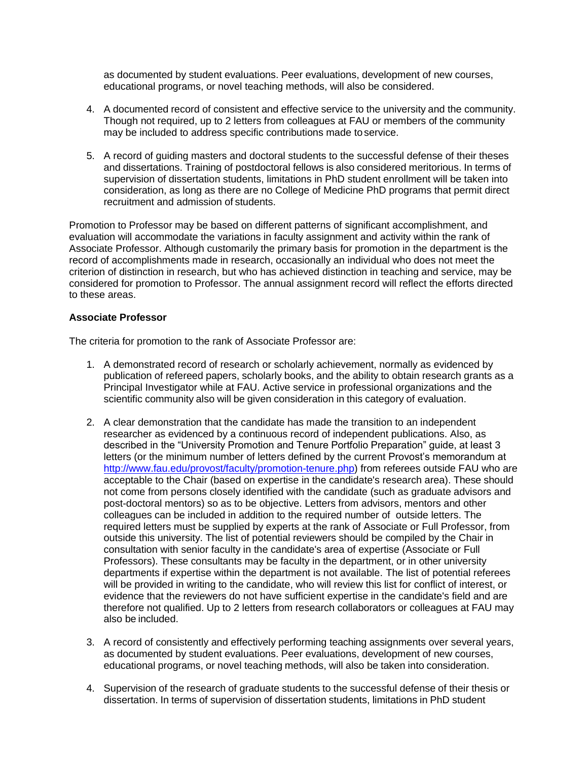as documented by student evaluations. Peer evaluations, development of new courses, educational programs, or novel teaching methods, will also be considered.

- 4. A documented record of consistent and effective service to the university and the community. Though not required, up to 2 letters from colleagues at FAU or members of the community may be included to address specific contributions made toservice.
- 5. A record of guiding masters and doctoral students to the successful defense of their theses and dissertations. Training of postdoctoral fellows is also considered meritorious. In terms of supervision of dissertation students, limitations in PhD student enrollment will be taken into consideration, as long as there are no College of Medicine PhD programs that permit direct recruitment and admission of students.

Promotion to Professor may be based on different patterns of significant accomplishment, and evaluation will accommodate the variations in faculty assignment and activity within the rank of Associate Professor. Although customarily the primary basis for promotion in the department is the record of accomplishments made in research, occasionally an individual who does not meet the criterion of distinction in research, but who has achieved distinction in teaching and service, may be considered for promotion to Professor. The annual assignment record will reflect the efforts directed to these areas.

#### **Associate Professor**

The criteria for promotion to the rank of Associate Professor are:

- 1. A demonstrated record of research or scholarly achievement, normally as evidenced by publication of refereed papers, scholarly books, and the ability to obtain research grants as a Principal Investigator while at FAU. Active service in professional organizations and the scientific community also will be given consideration in this category of evaluation.
- 2. A clear demonstration that the candidate has made the transition to an independent researcher as evidenced by a continuous record of independent publications. Also, as described in the "University Promotion and Tenure Portfolio Preparation" guide, at least 3 letters (or the minimum number of letters defined by the current Provost's memorandum at [http://www.fau.edu/provost/faculty/promotion-tenure.php\)](http://www.fau.edu/provost/faculty/promotion-tenure.php) from referees outside FAU who are acceptable to the Chair (based on expertise in the candidate's research area). These should not come from persons closely identified with the candidate (such as graduate advisors and post-doctoral mentors) so as to be objective. Letters from advisors, mentors and other colleagues can be included in addition to the required number of outside letters. The required letters must be supplied by experts at the rank of Associate or Full Professor, from outside this university. The list of potential reviewers should be compiled by the Chair in consultation with senior faculty in the candidate's area of expertise (Associate or Full Professors). These consultants may be faculty in the department, or in other university departments if expertise within the department is not available. The list of potential referees will be provided in writing to the candidate, who will review this list for conflict of interest, or evidence that the reviewers do not have sufficient expertise in the candidate's field and are therefore not qualified. Up to 2 letters from research collaborators or colleagues at FAU may also be included.
- 3. A record of consistently and effectively performing teaching assignments over several years, as documented by student evaluations. Peer evaluations, development of new courses, educational programs, or novel teaching methods, will also be taken into consideration.
- 4. Supervision of the research of graduate students to the successful defense of their thesis or dissertation. In terms of supervision of dissertation students, limitations in PhD student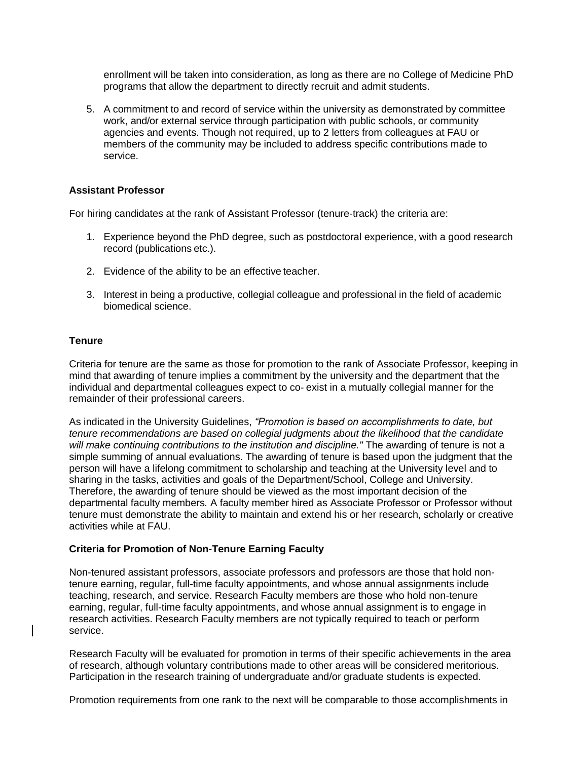enrollment will be taken into consideration, as long as there are no College of Medicine PhD programs that allow the department to directly recruit and admit students.

5. A commitment to and record of service within the university as demonstrated by committee work, and/or external service through participation with public schools, or community agencies and events. Though not required, up to 2 letters from colleagues at FAU or members of the community may be included to address specific contributions made to service.

### **Assistant Professor**

For hiring candidates at the rank of Assistant Professor (tenure-track) the criteria are:

- 1. Experience beyond the PhD degree, such as postdoctoral experience, with a good research record (publications etc.).
- 2. Evidence of the ability to be an effective teacher.
- 3. Interest in being a productive, collegial colleague and professional in the field of academic biomedical science.

#### **Tenure**

Criteria for tenure are the same as those for promotion to the rank of Associate Professor, keeping in mind that awarding of tenure implies a commitment by the university and the department that the individual and departmental colleagues expect to co‐ exist in a mutually collegial manner for the remainder of their professional careers.

As indicated in the University Guidelines, *"Promotion is based on accomplishments to date, but tenure recommendations are based on collegial judgments about the likelihood that the candidate will make continuing contributions to the institution and discipline."* The awarding of tenure is not a simple summing of annual evaluations. The awarding of tenure is based upon the judgment that the person will have a lifelong commitment to scholarship and teaching at the University level and to sharing in the tasks, activities and goals of the Department/School, College and University. Therefore, the awarding of tenure should be viewed as the most important decision of the departmental faculty members*.* A faculty member hired as Associate Professor or Professor without tenure must demonstrate the ability to maintain and extend his or her research, scholarly or creative activities while at FAU.

### **Criteria for Promotion of Non-Tenure Earning Faculty**

Non-tenured assistant professors, associate professors and professors are those that hold nontenure earning, regular, full-time faculty appointments, and whose annual assignments include teaching, research, and service. Research Faculty members are those who hold non-tenure earning, regular, full-time faculty appointments, and whose annual assignment is to engage in research activities. Research Faculty members are not typically required to teach or perform service.

Research Faculty will be evaluated for promotion in terms of their specific achievements in the area of research, although voluntary contributions made to other areas will be considered meritorious. Participation in the research training of undergraduate and/or graduate students is expected.

Promotion requirements from one rank to the next will be comparable to those accomplishments in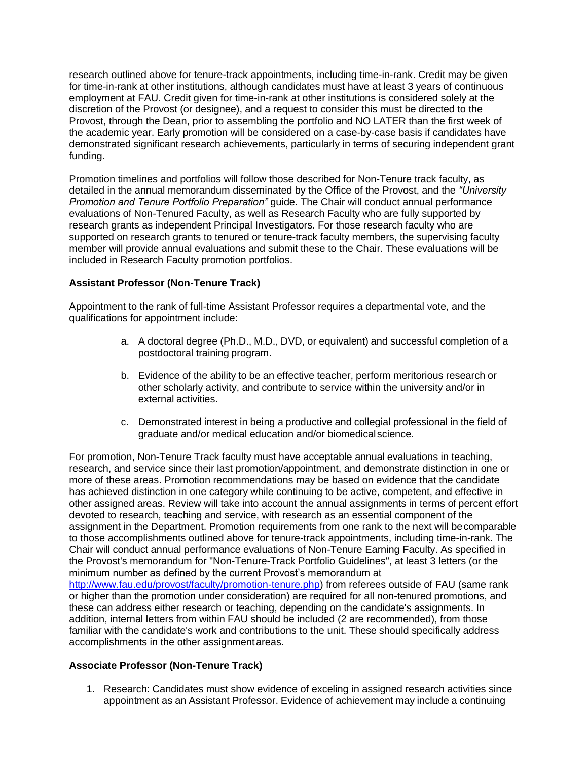research outlined above for tenure-track appointments, including time-in-rank. Credit may be given for time-in-rank at other institutions, although candidates must have at least 3 years of continuous employment at FAU. Credit given for time-in-rank at other institutions is considered solely at the discretion of the Provost (or designee), and a request to consider this must be directed to the Provost, through the Dean, prior to assembling the portfolio and NO LATER than the first week of the academic year. Early promotion will be considered on a case-by-case basis if candidates have demonstrated significant research achievements, particularly in terms of securing independent grant funding.

Promotion timelines and portfolios will follow those described for Non-Tenure track faculty, as detailed in the annual memorandum disseminated by the Office of the Provost, and the *"University Promotion and Tenure Portfolio Preparation"* guide. The Chair will conduct annual performance evaluations of Non-Tenured Faculty, as well as Research Faculty who are fully supported by research grants as independent Principal Investigators. For those research faculty who are supported on research grants to tenured or tenure-track faculty members, the supervising faculty member will provide annual evaluations and submit these to the Chair. These evaluations will be included in Research Faculty promotion portfolios.

# **Assistant Professor (Non-Tenure Track)**

Appointment to the rank of full-time Assistant Professor requires a departmental vote, and the qualifications for appointment include:

- a. A doctoral degree (Ph.D., M.D., DVD, or equivalent) and successful completion of a postdoctoral training program.
- b. Evidence of the ability to be an effective teacher, perform meritorious research or other scholarly activity, and contribute to service within the university and/or in external activities.
- c. Demonstrated interest in being a productive and collegial professional in the field of graduate and/or medical education and/or biomedicalscience.

For promotion, Non-Tenure Track faculty must have acceptable annual evaluations in teaching, research, and service since their last promotion/appointment, and demonstrate distinction in one or more of these areas. Promotion recommendations may be based on evidence that the candidate has achieved distinction in one category while continuing to be active, competent, and effective in other assigned areas. Review will take into account the annual assignments in terms of percent effort devoted to research, teaching and service, with research as an essential component of the assignment in the Department. Promotion requirements from one rank to the next will becomparable to those accomplishments outlined above for tenure-track appointments, including time-in-rank. The Chair will conduct annual performance evaluations of Non-Tenure Earning Faculty. As specified in the Provost's memorandum for "Non-Tenure-Track Portfolio Guidelines", at least 3 letters (or the minimum number as defined by the current Provost's memorandum at [http://www.fau.edu/provost/faculty/promotion-tenure.php\)](http://www.fau.edu/provost/faculty/promotion-tenure.php) from referees outside of FAU (same rank or higher than the promotion under consideration) are required for all non-tenured promotions, and these can address either research or teaching, depending on the candidate's assignments. In addition, internal letters from within FAU should be included (2 are recommended), from those familiar with the candidate's work and contributions to the unit. These should specifically address accomplishments in the other assignmentareas.

### **Associate Professor (Non-Tenure Track)**

1. Research: Candidates must show evidence of exceling in assigned research activities since appointment as an Assistant Professor. Evidence of achievement may include a continuing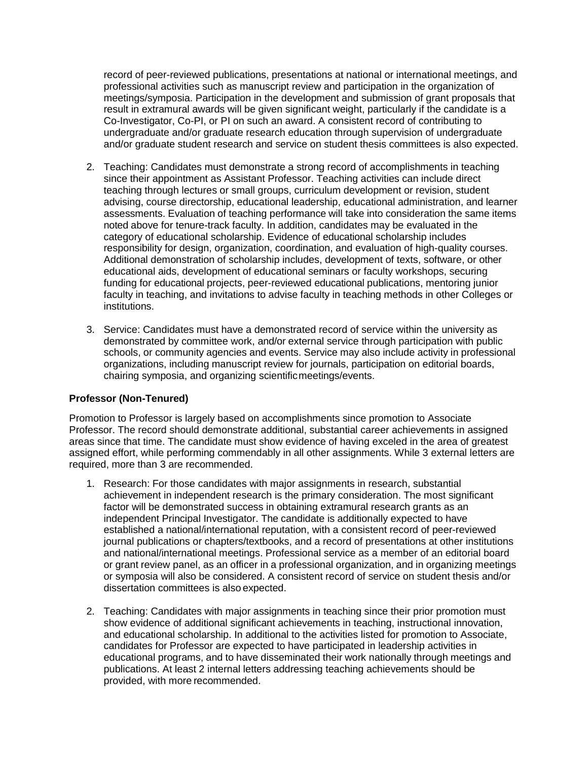record of peer-reviewed publications, presentations at national or international meetings, and professional activities such as manuscript review and participation in the organization of meetings/symposia. Participation in the development and submission of grant proposals that result in extramural awards will be given significant weight, particularly if the candidate is a Co-Investigator, Co-PI, or PI on such an award. A consistent record of contributing to undergraduate and/or graduate research education through supervision of undergraduate and/or graduate student research and service on student thesis committees is also expected.

- 2. Teaching: Candidates must demonstrate a strong record of accomplishments in teaching since their appointment as Assistant Professor. Teaching activities can include direct teaching through lectures or small groups, curriculum development or revision, student advising, course directorship, educational leadership, educational administration, and learner assessments. Evaluation of teaching performance will take into consideration the same items noted above for tenure-track faculty. In addition, candidates may be evaluated in the category of educational scholarship. Evidence of educational scholarship includes responsibility for design, organization, coordination, and evaluation of high-quality courses. Additional demonstration of scholarship includes, development of texts, software, or other educational aids, development of educational seminars or faculty workshops, securing funding for educational projects, peer-reviewed educational publications, mentoring junior faculty in teaching, and invitations to advise faculty in teaching methods in other Colleges or institutions.
- 3. Service: Candidates must have a demonstrated record of service within the university as demonstrated by committee work, and/or external service through participation with public schools, or community agencies and events. Service may also include activity in professional organizations, including manuscript review for journals, participation on editorial boards, chairing symposia, and organizing scientificmeetings/events.

# **Professor (Non-Tenured)**

Promotion to Professor is largely based on accomplishments since promotion to Associate Professor. The record should demonstrate additional, substantial career achievements in assigned areas since that time. The candidate must show evidence of having exceled in the area of greatest assigned effort, while performing commendably in all other assignments. While 3 external letters are required, more than 3 are recommended.

- 1. Research: For those candidates with major assignments in research, substantial achievement in independent research is the primary consideration. The most significant factor will be demonstrated success in obtaining extramural research grants as an independent Principal Investigator. The candidate is additionally expected to have established a national/international reputation, with a consistent record of peer-reviewed journal publications or chapters/textbooks, and a record of presentations at other institutions and national/international meetings. Professional service as a member of an editorial board or grant review panel, as an officer in a professional organization, and in organizing meetings or symposia will also be considered. A consistent record of service on student thesis and/or dissertation committees is also expected.
- 2. Teaching: Candidates with major assignments in teaching since their prior promotion must show evidence of additional significant achievements in teaching, instructional innovation, and educational scholarship. In additional to the activities listed for promotion to Associate, candidates for Professor are expected to have participated in leadership activities in educational programs, and to have disseminated their work nationally through meetings and publications. At least 2 internal letters addressing teaching achievements should be provided, with more recommended.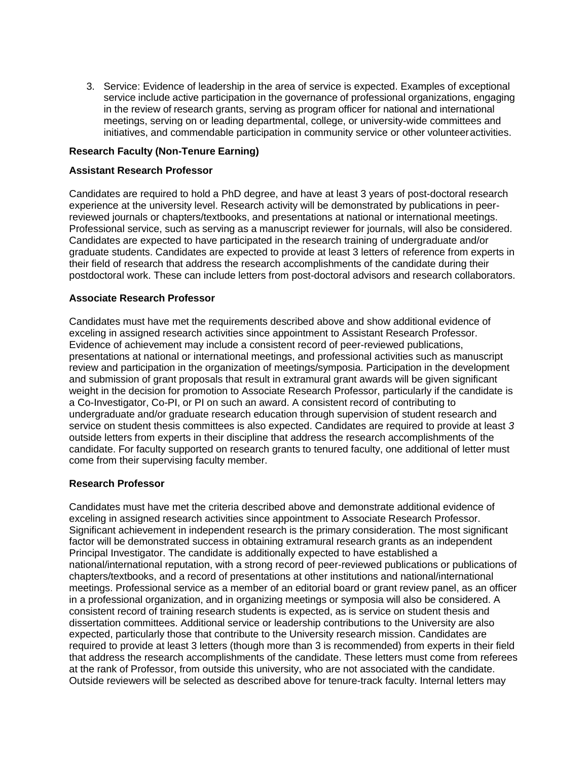3. Service: Evidence of leadership in the area of service is expected. Examples of exceptional service include active participation in the governance of professional organizations, engaging in the review of research grants, serving as program officer for national and international meetings, serving on or leading departmental, college, or university-wide committees and initiatives, and commendable participation in community service or other volunteeractivities.

### **Research Faculty (Non-Tenure Earning)**

### **Assistant Research Professor**

Candidates are required to hold a PhD degree, and have at least 3 years of post-doctoral research experience at the university level. Research activity will be demonstrated by publications in peerreviewed journals or chapters/textbooks, and presentations at national or international meetings. Professional service, such as serving as a manuscript reviewer for journals, will also be considered. Candidates are expected to have participated in the research training of undergraduate and/or graduate students. Candidates are expected to provide at least 3 letters of reference from experts in their field of research that address the research accomplishments of the candidate during their postdoctoral work. These can include letters from post-doctoral advisors and research collaborators.

### **Associate Research Professor**

Candidates must have met the requirements described above and show additional evidence of exceling in assigned research activities since appointment to Assistant Research Professor. Evidence of achievement may include a consistent record of peer-reviewed publications, presentations at national or international meetings, and professional activities such as manuscript review and participation in the organization of meetings/symposia. Participation in the development and submission of grant proposals that result in extramural grant awards will be given significant weight in the decision for promotion to Associate Research Professor, particularly if the candidate is a Co-Investigator, Co-PI, or PI on such an award. A consistent record of contributing to undergraduate and/or graduate research education through supervision of student research and service on student thesis committees is also expected. Candidates are required to provide at least *3*  outside letters from experts in their discipline that address the research accomplishments of the candidate. For faculty supported on research grants to tenured faculty, one additional of letter must come from their supervising faculty member.

### **Research Professor**

Candidates must have met the criteria described above and demonstrate additional evidence of exceling in assigned research activities since appointment to Associate Research Professor. Significant achievement in independent research is the primary consideration. The most significant factor will be demonstrated success in obtaining extramural research grants as an independent Principal Investigator. The candidate is additionally expected to have established a national/international reputation, with a strong record of peer-reviewed publications or publications of chapters/textbooks, and a record of presentations at other institutions and national/international meetings. Professional service as a member of an editorial board or grant review panel, as an officer in a professional organization, and in organizing meetings or symposia will also be considered. A consistent record of training research students is expected, as is service on student thesis and dissertation committees. Additional service or leadership contributions to the University are also expected, particularly those that contribute to the University research mission. Candidates are required to provide at least 3 letters (though more than 3 is recommended) from experts in their field that address the research accomplishments of the candidate. These letters must come from referees at the rank of Professor, from outside this university, who are not associated with the candidate. Outside reviewers will be selected as described above for tenure-track faculty. Internal letters may